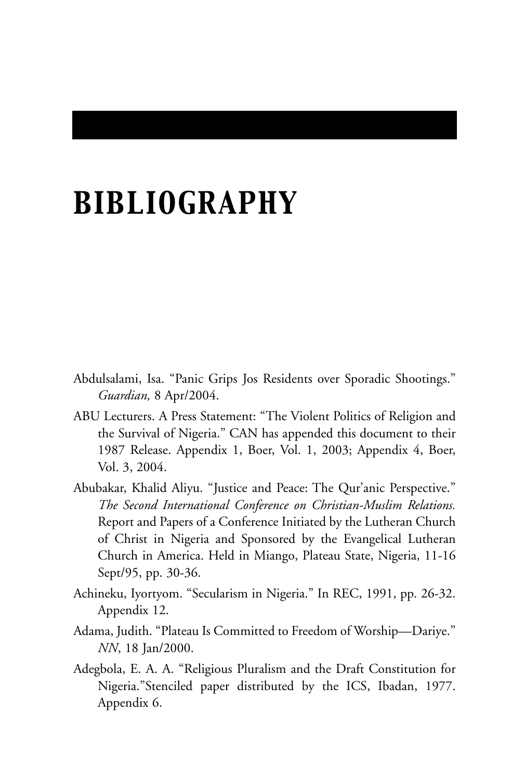# *BIBLIOGRAPHY*

- Abdulsalami, Isa. "Panic Grips Jos Residents over Sporadic Shootings." *Guardian,* 8 Apr/2004.
- ABU Lecturers. A Press Statement: "The Violent Politics of Religion and the Survival of Nigeria." CAN has appended this document to their 1987 Release. Appendix 1, Boer, Vol. 1, 2003; Appendix 4, Boer, Vol. 3, 2004.
- Abubakar, Khalid Aliyu. "Justice and Peace: The Qur'anic Perspective." *The Second International Conference on Christian-Muslim Relations.* Report and Papers of a Conference Initiated by the Lutheran Church of Christ in Nigeria and Sponsored by the Evangelical Lutheran Church in America. Held in Miango, Plateau State, Nigeria, 11-16 Sept/95, pp. 30-36.
- Achineku, Iyortyom. "Secularism in Nigeria." In REC, 1991, pp. 26-32. Appendix 12.
- Adama, Judith. "Plateau Is Committed to Freedom of Worship—Dariye." *NN*, 18 Jan/2000.
- Adegbola, E. A. A. "Religious Pluralism and the Draft Constitution for Nigeria."Stenciled paper distributed by the ICS, Ibadan, 1977. Appendix 6.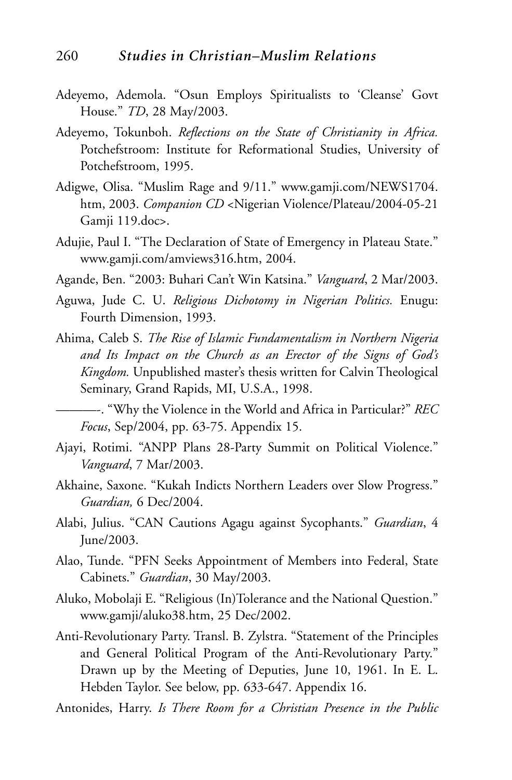- Adeyemo, Ademola. "Osun Employs Spiritualists to 'Cleanse' Govt House." *TD*, 28 May/2003.
- Adeyemo, Tokunboh. *Reflections on the State of Christianity in Africa.* Potchefstroom: Institute for Reformational Studies, University of Potchefstroom, 1995.
- Adigwe, Olisa. "Muslim Rage and 9/11." www.gamji.com/NEWS1704. htm, 2003. *Companion CD* <Nigerian Violence/Plateau/2004-05-21 Gamji 119.doc>.
- Adujie, Paul I. "The Declaration of State of Emergency in Plateau State." www.gamji.com/amviews316.htm, 2004.
- Agande, Ben. "2003: Buhari Can't Win Katsina." *Vanguard*, 2 Mar/2003.
- Aguwa, Jude C. U. *Religious Dichotomy in Nigerian Politics.* Enugu: Fourth Dimension, 1993.
- Ahima, Caleb S. *The Rise of Islamic Fundamentalism in Northern Nigeria and Its Impact on the Church as an Erector of the Signs of God's Kingdom.* Unpublished master's thesis written for Calvin Theological Seminary, Grand Rapids, MI, U.S.A., 1998.

———-. "Why the Violence in the World and Africa in Particular?" *REC Focus*, Sep/2004, pp. 63-75. Appendix 15.

- Ajayi, Rotimi. "ANPP Plans 28-Party Summit on Political Violence." *Vanguard*, 7 Mar/2003.
- Akhaine, Saxone. "Kukah Indicts Northern Leaders over Slow Progress." *Guardian,* 6 Dec/2004.
- Alabi, Julius. "CAN Cautions Agagu against Sycophants." *Guardian*, 4 June/2003.
- Alao, Tunde. "PFN Seeks Appointment of Members into Federal, State Cabinets." *Guardian*, 30 May/2003.
- Aluko, Mobolaji E. "Religious (In)Tolerance and the National Question." www.gamji/aluko38.htm, 25 Dec/2002.
- Anti-Revolutionary Party. Transl. B. Zylstra. "Statement of the Principles and General Political Program of the Anti-Revolutionary Party." Drawn up by the Meeting of Deputies, June 10, 1961. In E. L. Hebden Taylor. See below, pp. 633-647. Appendix 16.
- Antonides, Harry. *Is There Room for a Christian Presence in the Public*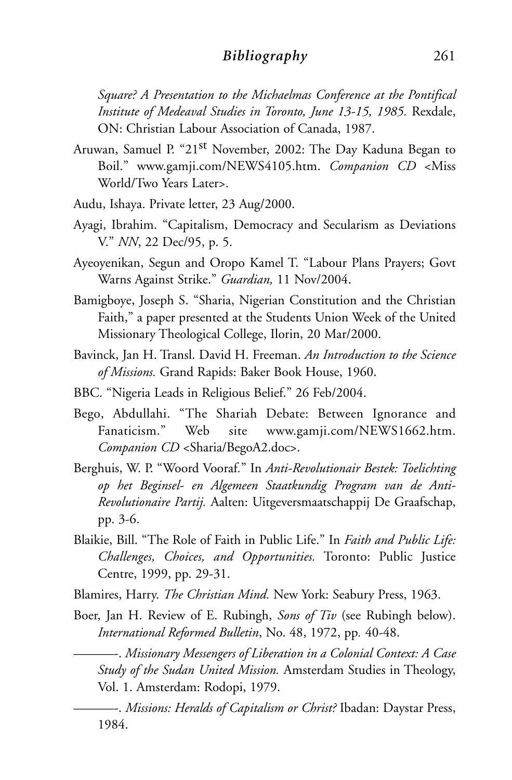### *Bibliography* 261

*Square? A Presentation to the Michaelmas Conference at the Pontifical Institute of Medeaval Studies in Toronto, June 13-15, 1985.* Rexdale, ON: Christian Labour Association of Canada, 1987.

- Aruwan, Samuel P. "21st November, 2002: The Day Kaduna Began to Boil." www.gamji.com/NEWS4105.htm. *Companion CD* <Miss World/Two Years Later>.
- Audu, Ishaya. Private letter, 23 Aug/2000.
- Ayagi, Ibrahim. "Capitalism, Democracy and Secularism as Deviations V." *NN*, 22 Dec/95, p. 5.
- Ayeoyenikan, Segun and Oropo Kamel T. "Labour Plans Prayers; Govt Warns Against Strike." *Guardian,* 11 Nov/2004.
- Bamigboye, Joseph S. "Sharia, Nigerian Constitution and the Christian Faith," a paper presented at the Students Union Week of the United Missionary Theological College, Ilorin, 20 Mar/2000.
- Bavinck, Jan H. Transl. David H. Freeman. *An Introduction to the Science of Missions.* Grand Rapids: Baker Book House, 1960.
- BBC. "Nigeria Leads in Religious Belief." 26 Feb/2004.
- Bego, Abdullahi. "The Shariah Debate: Between Ignorance and Fanaticism." Web site www.gamji.com/NEWS1662.htm. *Companion CD* <Sharia/BegoA2.doc>.
- Berghuis, W. P. "Woord Vooraf*.*" In *Anti-Revolutionair Bestek: Toelichting op het Beginsel- en Algemeen Staatkundig Program van de Anti-Revolutionaire Partij.* Aalten: Uitgeversmaatschappij De Graafschap, pp. 3-6.
- Blaikie, Bill. "The Role of Faith in Public Life." In *Faith and Public Life: Challenges, Choices, and Opportunities.* Toronto: Public Justice Centre, 1999, pp. 29-31.
- Blamires, Harry. *The Christian Mind.* New York: Seabury Press, 1963.
- Boer, Jan H. Review of E. Rubingh, *Sons of Tiv* (see Rubingh below). *International Reformed Bulletin*, No. 48, 1972, pp*.* 40-48.

———-. *Missionary Messengers of Liberation in a Colonial Context: A Case Study of the Sudan United Mission.* Amsterdam Studies in Theology, Vol. 1. Amsterdam: Rodopi, 1979.

———-. *Missions: Heralds of Capitalism or Christ?* Ibadan: Daystar Press, 1984.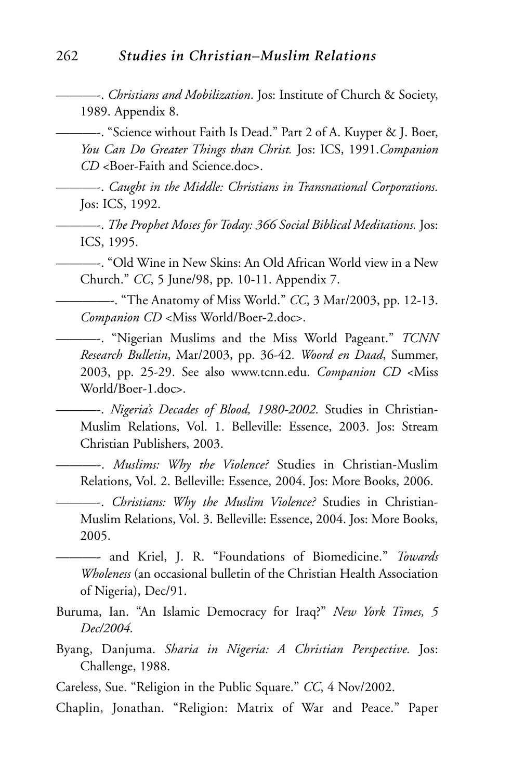———-. *Christians and Mobilization*. Jos: Institute of Church & Society, 1989. Appendix 8.

———-. "Science without Faith Is Dead." Part 2 of A. Kuyper & J. Boer, *You Can Do Greater Things than Christ.* Jos: ICS, 1991.*Companion CD* <Boer-Faith and Science.doc>.

———-. *Caught in the Middle: Christians in Transnational Corporations.* Jos: ICS, 1992.

———-. *The Prophet Moses for Today: 366 Social Biblical Meditations.* Jos: ICS, 1995.

———-. "Old Wine in New Skins: An Old African World view in a New Church." *CC*, 5 June/98, pp. 10-11. Appendix 7.

————-. "The Anatomy of Miss World." *CC*, 3 Mar/2003, pp. 12-13. *Companion CD* <Miss World/Boer-2.doc>.

———-. "Nigerian Muslims and the Miss World Pageant." *TCNN Research Bulletin*, Mar/2003, pp. 36-42*. Woord en Daad*, Summer, 2003, pp. 25-29. See also www.tcnn.edu. *Companion CD* <Miss World/Boer-1.doc>.

———-. *Nigeria's Decades of Blood, 1980-2002.* Studies in Christian-Muslim Relations, Vol. 1. Belleville: Essence, 2003. Jos: Stream Christian Publishers, 2003.

———-. *Muslims: Why the Violence?* Studies in Christian-Muslim Relations, Vol. 2. Belleville: Essence, 2004. Jos: More Books, 2006.

———-. *Christians: Why the Muslim Violence?* Studies in Christian-Muslim Relations, Vol. 3. Belleville: Essence, 2004. Jos: More Books, 2005.

———- and Kriel, J. R. "Foundations of Biomedicine." *Towards Wholeness* (an occasional bulletin of the Christian Health Association of Nigeria), Dec/91.

- Buruma, Ian. "An Islamic Democracy for Iraq?" *New York Times, 5 Dec/2004.*
- Byang, Danjuma. *Sharia in Nigeria: A Christian Perspective.* Jos: Challenge, 1988.

Careless, Sue. "Religion in the Public Square." *CC*, 4 Nov/2002.

Chaplin, Jonathan. "Religion: Matrix of War and Peace." Paper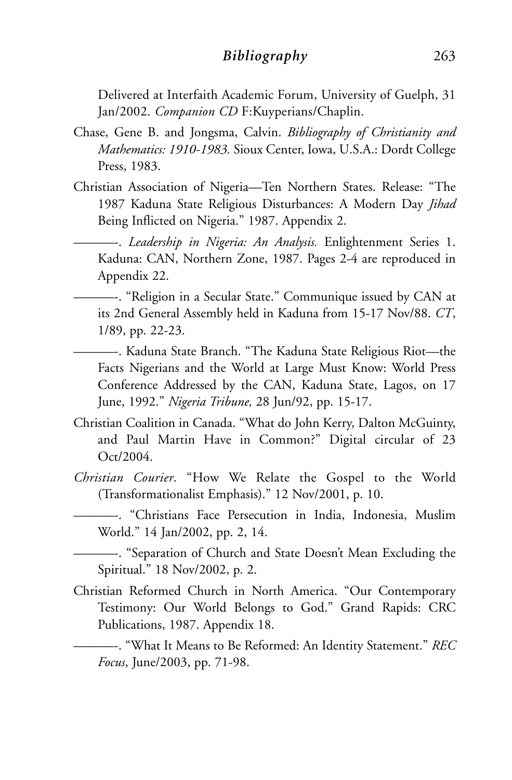## *Bibliography* 263

Delivered at Interfaith Academic Forum, University of Guelph, 31 Jan/2002. *Companion CD* F:Kuyperians/Chaplin.

- Chase, Gene B. and Jongsma, Calvin. *Bibliography of Christianity and Mathematics: 1910-1983.* Sioux Center, Iowa, U.S.A.: Dordt College Press, 1983.
- Christian Association of Nigeria—Ten Northern States. Release: "The 1987 Kaduna State Religious Disturbances: A Modern Day *Jihad* Being Inflicted on Nigeria." 1987. Appendix 2.

———-. *Leadership in Nigeria: An Analysis.* Enlightenment Series 1. Kaduna: CAN, Northern Zone, 1987. Pages 2-4 are reproduced in Appendix 22.

———-. "Religion in a Secular State." Communique issued by CAN at its 2nd General Assembly held in Kaduna from 15-17 Nov/88. *CT*, 1/89, pp. 22-23.

———-. Kaduna State Branch. "The Kaduna State Religious Riot—the Facts Nigerians and the World at Large Must Know: World Press Conference Addressed by the CAN, Kaduna State, Lagos, on 17 June, 1992." *Nigeria Tribune,* 28 Jun/92, pp. 15-17.

- Christian Coalition in Canada. "What do John Kerry, Dalton McGuinty, and Paul Martin Have in Common?" Digital circular of 23 Oct/2004.
- *Christian Courier*. "How We Relate the Gospel to the World (Transformationalist Emphasis)." 12 Nov/2001, p. 10.

———-. "Christians Face Persecution in India, Indonesia, Muslim World." 14 Jan/2002, pp. 2, 14.

———-. "Separation of Church and State Doesn't Mean Excluding the Spiritual." 18 Nov/2002, p. 2.

Christian Reformed Church in North America. "Our Contemporary Testimony: Our World Belongs to God." Grand Rapids: CRC Publications, 1987. Appendix 18.

———-. "What It Means to Be Reformed: An Identity Statement." *REC Focus*, June/2003, pp. 71-98.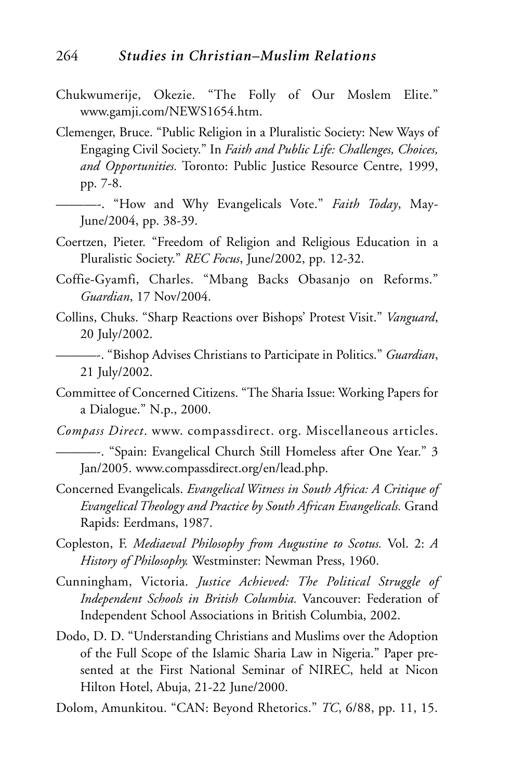- Chukwumerije, Okezie. "The Folly of Our Moslem Elite." www.gamji.com/NEWS1654.htm.
- Clemenger, Bruce. "Public Religion in a Pluralistic Society: New Ways of Engaging Civil Society." In *Faith and Public Life: Challenges, Choices, and Opportunities.* Toronto: Public Justice Resource Centre, 1999, pp. 7-8.
	- ———-. "How and Why Evangelicals Vote." *Faith Today*, May-June/2004, pp. 38-39.
- Coertzen, Pieter. "Freedom of Religion and Religious Education in a Pluralistic Society." *REC Focus*, June/2002, pp. 12-32.
- Coffie-Gyamfi, Charles. "Mbang Backs Obasanjo on Reforms." *Guardian*, 17 Nov/2004.
- Collins, Chuks. "Sharp Reactions over Bishops' Protest Visit." *Vanguard*, 20 July/2002.
- ———-. "Bishop Advises Christians to Participate in Politics." *Guardian*, 21 July/2002.
- Committee of Concerned Citizens. "The Sharia Issue: Working Papers for a Dialogue." N.p., 2000.
- *Compass Direct*. www. compassdirect. org. Miscellaneous articles.
	- ———-. "Spain: Evangelical Church Still Homeless after One Year." 3 Jan/2005. www.compassdirect.org/en/lead.php.
- Concerned Evangelicals. *Evangelical Witness in South Africa: A Critique of Evangelical Theology and Practice by South African Evangelicals.* Grand Rapids: Eerdmans, 1987.
- Copleston, F. *Mediaeval Philosophy from Augustine to Scotus.* Vol. 2: *A History of Philosophy.* Westminster: Newman Press, 1960.
- Cunningham, Victoria. *Justice Achieved: The Political Struggle of Independent Schools in British Columbia.* Vancouver: Federation of Independent School Associations in British Columbia, 2002.
- Dodo, D. D. "Understanding Christians and Muslims over the Adoption of the Full Scope of the Islamic Sharia Law in Nigeria." Paper presented at the First National Seminar of NIREC, held at Nicon Hilton Hotel, Abuja, 21-22 June/2000.
- Dolom, Amunkitou. "CAN: Beyond Rhetorics." *TC*, 6/88, pp. 11, 15.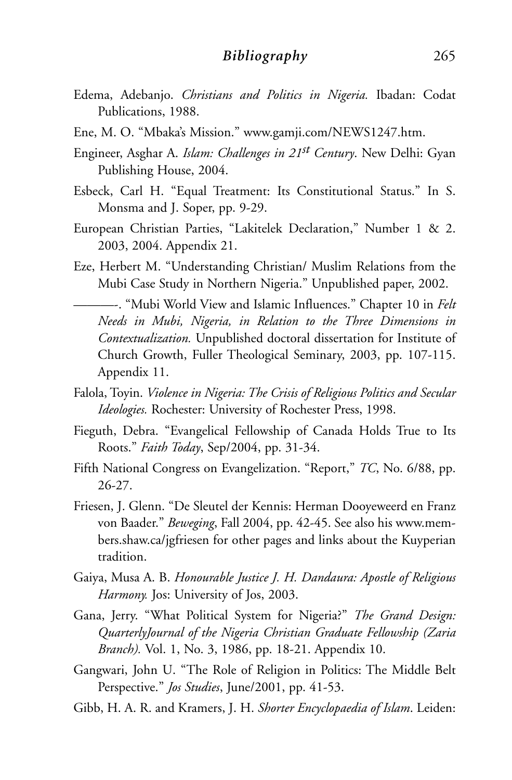- Edema, Adebanjo. *Christians and Politics in Nigeria.* Ibadan: Codat Publications, 1988.
- Ene, M. O. "Mbaka's Mission." www.gamji.com/NEWS1247.htm.
- Engineer, Asghar A. *Islam: Challenges in 21st Century*. New Delhi: Gyan Publishing House, 2004.
- Esbeck, Carl H. "Equal Treatment: Its Constitutional Status." In S. Monsma and J. Soper, pp. 9-29.
- European Christian Parties, "Lakitelek Declaration," Number 1 & 2. 2003, 2004. Appendix 21.
- Eze, Herbert M. "Understanding Christian/ Muslim Relations from the Mubi Case Study in Northern Nigeria." Unpublished paper, 2002.
	- ———-. "Mubi World View and Islamic Influences." Chapter 10 in *Felt Needs in Mubi, Nigeria, in Relation to the Three Dimensions in Contextualization.* Unpublished doctoral dissertation for Institute of Church Growth, Fuller Theological Seminary, 2003, pp. 107-115. Appendix 11.
- Falola, Toyin. *Violence in Nigeria: The Crisis of Religious Politics and Secular Ideologies.* Rochester: University of Rochester Press, 1998.
- Fieguth, Debra. "Evangelical Fellowship of Canada Holds True to Its Roots." *Faith Today*, Sep/2004, pp. 31-34.
- Fifth National Congress on Evangelization. "Report," *TC*, No. 6/88, pp. 26-27.
- Friesen, J. Glenn. "De Sleutel der Kennis: Herman Dooyeweerd en Franz von Baader." *Beweging*, Fall 2004, pp. 42-45. See also his www.members.shaw.ca/jgfriesen for other pages and links about the Kuyperian tradition.
- Gaiya, Musa A. B. *Honourable Justice J. H. Dandaura: Apostle of Religious Harmony.* Jos: University of Jos, 2003.
- Gana, Jerry. "What Political System for Nigeria?" *The Grand Design: QuarterlyJournal of the Nigeria Christian Graduate Fellowship (Zaria Branch).* Vol. 1, No. 3, 1986, pp. 18-21. Appendix 10.
- Gangwari, John U. "The Role of Religion in Politics: The Middle Belt Perspective." *Jos Studies*, June/2001, pp. 41-53.
- Gibb, H. A. R. and Kramers, J. H. *Shorter Encyclopaedia of Islam*. Leiden: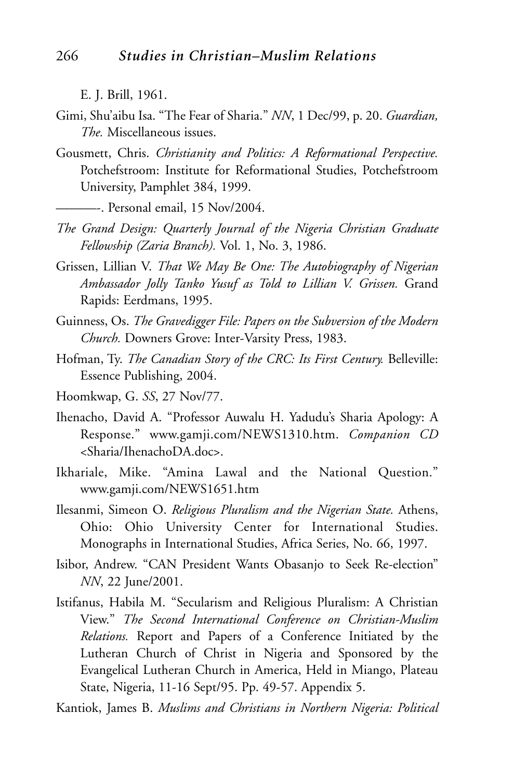E. J. Brill, 1961.

- Gimi, Shu'aibu Isa. "The Fear of Sharia." *NN*, 1 Dec/99, p. 20. *Guardian, The.* Miscellaneous issues.
- Gousmett, Chris. *Christianity and Politics: A Reformational Perspective.* Potchefstroom: Institute for Reformational Studies, Potchefstroom University, Pamphlet 384, 1999.
	- ———-. Personal email, 15 Nov/2004.
- *The Grand Design: Quarterly Journal of the Nigeria Christian Graduate Fellowship (Zaria Branch).* Vol. 1, No. 3, 1986.
- Grissen, Lillian V. *That We May Be One: The Autobiography of Nigerian Ambassador Jolly Tanko Yusuf as Told to Lillian V. Grissen.* Grand Rapids: Eerdmans, 1995.
- Guinness, Os. *The Gravedigger File: Papers on the Subversion of the Modern Church.* Downers Grove: Inter-Varsity Press, 1983.
- Hofman, Ty. *The Canadian Story of the CRC: Its First Century.* Belleville: Essence Publishing, 2004.
- Hoomkwap, G. *SS*, 27 Nov/77.
- Ihenacho, David A. "Professor Auwalu H. Yadudu's Sharia Apology: A Response." www.gamji.com/NEWS1310.htm. *Companion CD* <Sharia/IhenachoDA.doc>.
- Ikhariale, Mike. "Amina Lawal and the National Question." www.gamji.com/NEWS1651.htm
- Ilesanmi, Simeon O. *Religious Pluralism and the Nigerian State.* Athens, Ohio: Ohio University Center for International Studies. Monographs in International Studies, Africa Series, No. 66, 1997.
- Isibor, Andrew. "CAN President Wants Obasanjo to Seek Re-election" *NN*, 22 June/2001.
- Istifanus, Habila M. "Secularism and Religious Pluralism: A Christian View." *The Second International Conference on Christian-Muslim Relations.* Report and Papers of a Conference Initiated by the Lutheran Church of Christ in Nigeria and Sponsored by the Evangelical Lutheran Church in America, Held in Miango, Plateau State, Nigeria, 11-16 Sept/95. Pp. 49-57. Appendix 5.
- Kantiok, James B. *Muslims and Christians in Northern Nigeria: Political*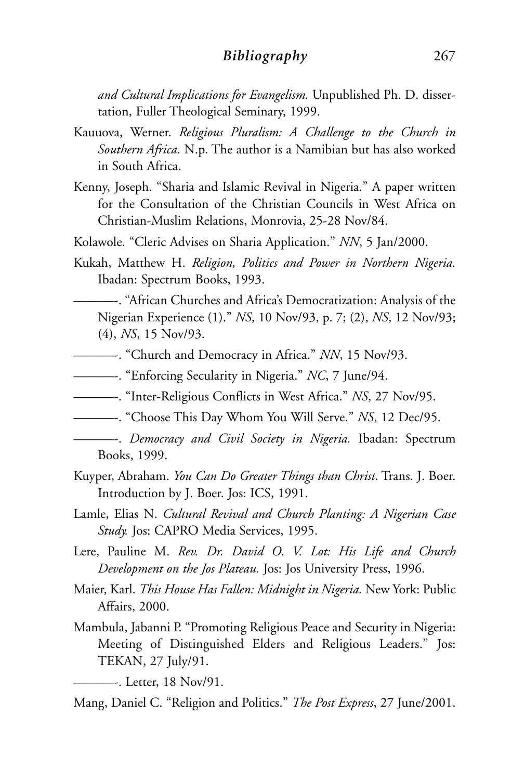### *Bibliography* 267

*and Cultural Implications for Evangelism.* Unpublished Ph. D. dissertation, Fuller Theological Seminary, 1999.

- Kauuova, Werner. *Religious Pluralism: A Challenge to the Church in Southern Africa.* N.p. The author is a Namibian but has also worked in South Africa.
- Kenny, Joseph. "Sharia and Islamic Revival in Nigeria." A paper written for the Consultation of the Christian Councils in West Africa on Christian-Muslim Relations, Monrovia, 25-28 Nov/84.
- Kolawole. "Cleric Advises on Sharia Application." *NN*, 5 Jan/2000.
- Kukah, Matthew H. *Religion, Politics and Power in Northern Nigeria.* Ibadan: Spectrum Books, 1993.
	- ———-. "African Churches and Africa's Democratization: Analysis of the Nigerian Experience (1)." *NS*, 10 Nov/93, p. 7; (2), *NS*, 12 Nov/93; (4), *NS*, 15 Nov/93.
- ———-. "Church and Democracy in Africa." *NN*, 15 Nov/93.
- ———-. "Enforcing Secularity in Nigeria." *NC*, 7 June/94.
- ———-. "Inter-Religious Conflicts in West Africa." *NS*, 27 Nov/95.
- ———-. "Choose This Day Whom You Will Serve." *NS*, 12 Dec/95.
- ———-. *Democracy and Civil Society in Nigeria.* Ibadan: Spectrum Books, 1999.
- Kuyper, Abraham. *You Can Do Greater Things than Christ*. Trans. J. Boer. Introduction by J. Boer. Jos: ICS, 1991.
- Lamle, Elias N. *Cultural Revival and Church Planting: A Nigerian Case Study.* Jos: CAPRO Media Services, 1995.
- Lere, Pauline M. *Rev. Dr. David O. V. Lot: His Life and Church Development on the Jos Plateau.* Jos: Jos University Press, 1996.
- Maier, Karl. *This House Has Fallen: Midnight in Nigeria.* New York: Public Affairs, 2000.
- Mambula, Jabanni P. "Promoting Religious Peace and Security in Nigeria: Meeting of Distinguished Elders and Religious Leaders." Jos: TEKAN, 27 July/91.
	- ———-. Letter, 18 Nov/91.

Mang, Daniel C. "Religion and Politics." *The Post Express*, 27 June/2001.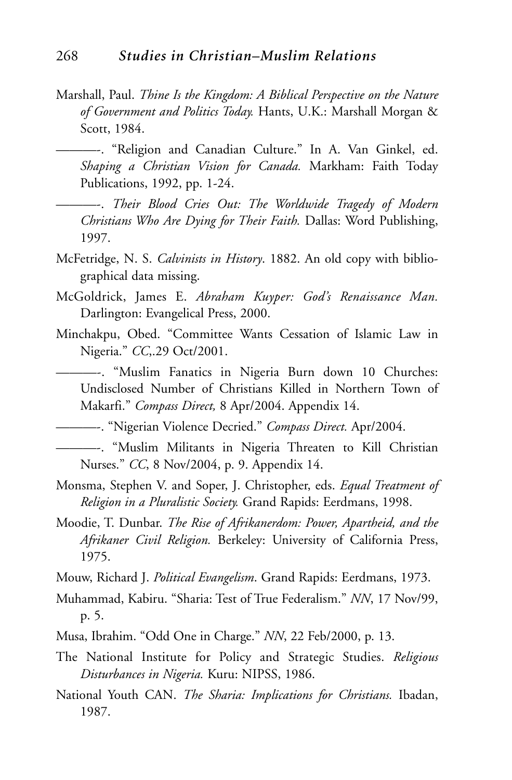- Marshall, Paul. *Thine Is the Kingdom: A Biblical Perspective on the Nature of Government and Politics Today.* Hants, U.K.: Marshall Morgan & Scott, 1984.
	- ———-. "Religion and Canadian Culture." In A. Van Ginkel, ed. *Shaping a Christian Vision for Canada.* Markham: Faith Today Publications, 1992, pp. 1-24.
	- ———-. *Their Blood Cries Out: The Worldwide Tragedy of Modern Christians Who Are Dying for Their Faith.* Dallas: Word Publishing, 1997.
- McFetridge, N. S. *Calvinists in History*. 1882. An old copy with bibliographical data missing.
- McGoldrick, James E. *Abraham Kuyper: God's Renaissance Man.* Darlington: Evangelical Press, 2000.
- Minchakpu, Obed. "Committee Wants Cessation of Islamic Law in Nigeria." *CC*,.29 Oct/2001.
	- ———-. "Muslim Fanatics in Nigeria Burn down 10 Churches: Undisclosed Number of Christians Killed in Northern Town of Makarfi." *Compass Direct,* 8 Apr/2004. Appendix 14.

———-. "Nigerian Violence Decried." *Compass Direct.* Apr/2004.

———-. "Muslim Militants in Nigeria Threaten to Kill Christian Nurses." *CC*, 8 Nov/2004, p. 9. Appendix 14.

- Monsma, Stephen V. and Soper, J. Christopher, eds. *Equal Treatment of Religion in a Pluralistic Society.* Grand Rapids: Eerdmans, 1998.
- Moodie, T. Dunbar. *The Rise of Afrikanerdom: Power, Apartheid, and the Afrikaner Civil Religion.* Berkeley: University of California Press, 1975.

Mouw, Richard J. *Political Evangelism*. Grand Rapids: Eerdmans, 1973.

- Muhammad, Kabiru. "Sharia: Test of True Federalism." *NN*, 17 Nov/99, p. 5.
- Musa, Ibrahim. "Odd One in Charge." *NN*, 22 Feb/2000, p. 13.
- The National Institute for Policy and Strategic Studies. *Religious Disturbances in Nigeria.* Kuru: NIPSS, 1986.
- National Youth CAN. *The Sharia: Implications for Christians.* Ibadan, 1987.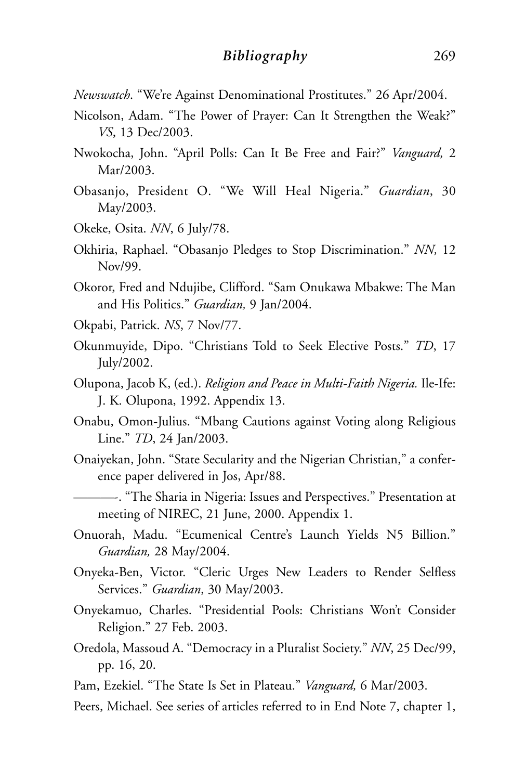*Newswatch*. "We're Against Denominational Prostitutes." 26 Apr/2004.

- Nicolson, Adam. "The Power of Prayer: Can It Strengthen the Weak?" *VS*, 13 Dec/2003.
- Nwokocha, John. "April Polls: Can It Be Free and Fair?" *Vanguard,* 2 Mar/2003.
- Obasanjo, President O. "We Will Heal Nigeria." *Guardian*, 30 May/2003.
- Okeke, Osita. *NN*, 6 July/78.
- Okhiria, Raphael. "Obasanjo Pledges to Stop Discrimination." *NN,* 12 Nov/99.
- Okoror, Fred and Ndujibe, Clifford. "Sam Onukawa Mbakwe: The Man and His Politics." *Guardian,* 9 Jan/2004.
- Okpabi, Patrick. *NS*, 7 Nov/77.
- Okunmuyide, Dipo. "Christians Told to Seek Elective Posts." *TD*, 17 July/2002.
- Olupona, Jacob K, (ed.). *Religion and Peace in Multi-Faith Nigeria.* Ile-Ife: J. K. Olupona, 1992. Appendix 13.
- Onabu, Omon-Julius. "Mbang Cautions against Voting along Religious Line." *TD*, 24 Jan/2003.
- Onaiyekan, John. "State Secularity and the Nigerian Christian," a conference paper delivered in Jos, Apr/88.
	- ———-. "The Sharia in Nigeria: Issues and Perspectives." Presentation at meeting of NIREC, 21 June, 2000. Appendix 1.
- Onuorah, Madu. "Ecumenical Centre's Launch Yields N5 Billion." *Guardian,* 28 May/2004.
- Onyeka-Ben, Victor. "Cleric Urges New Leaders to Render Selfless Services." *Guardian*, 30 May/2003.
- Onyekamuo, Charles. "Presidential Pools: Christians Won't Consider Religion." 27 Feb. 2003.
- Oredola, Massoud A. "Democracy in a Pluralist Society." *NN*, 25 Dec/99, pp. 16, 20.
- Pam, Ezekiel. "The State Is Set in Plateau." *Vanguard,* 6 Mar/2003.
- Peers, Michael. See series of articles referred to in End Note 7, chapter 1,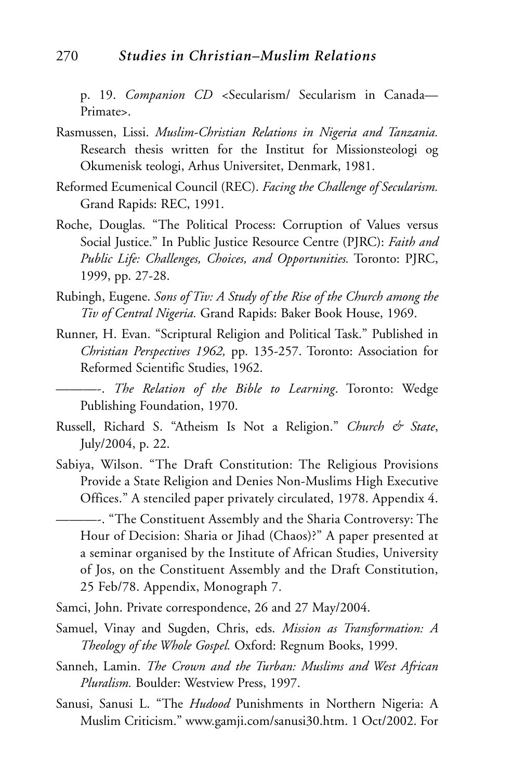# 270 *Studies in Christian–Muslim Relations*

p. 19. *Companion CD <*Secularism/ Secularism in Canada— Primate>.

- Rasmussen, Lissi. *Muslim-Christian Relations in Nigeria and Tanzania.* Research thesis written for the Institut for Missionsteologi og Okumenisk teologi, Arhus Universitet, Denmark, 1981.
- Reformed Ecumenical Council (REC). *Facing the Challenge of Secularism.* Grand Rapids: REC, 1991.
- Roche, Douglas. "The Political Process: Corruption of Values versus Social Justice." In Public Justice Resource Centre (PJRC): *Faith and Public Life: Challenges, Choices, and Opportunities.* Toronto: PJRC, 1999, pp. 27-28.
- Rubingh, Eugene. *Sons of Tiv: A Study of the Rise of the Church among the Tiv of Central Nigeria.* Grand Rapids: Baker Book House, 1969.
- Runner, H. Evan. "Scriptural Religion and Political Task." Published in *Christian Perspectives 1962,* pp. 135-257. Toronto: Association for Reformed Scientific Studies, 1962.

———-. *The Relation of the Bible to Learning*. Toronto: Wedge Publishing Foundation, 1970.

- Russell, Richard S. "Atheism Is Not a Religion." *Church & State*, July/2004, p. 22.
- Sabiya, Wilson. "The Draft Constitution: The Religious Provisions Provide a State Religion and Denies Non-Muslims High Executive Offices." A stenciled paper privately circulated, 1978. Appendix 4.

———-. "The Constituent Assembly and the Sharia Controversy: The Hour of Decision: Sharia or Jihad (Chaos)?" A paper presented at a seminar organised by the Institute of African Studies, University of Jos, on the Constituent Assembly and the Draft Constitution, 25 Feb/78. Appendix, Monograph 7.

- Samci, John. Private correspondence, 26 and 27 May/2004.
- Samuel, Vinay and Sugden, Chris, eds. *Mission as Transformation: A Theology of the Whole Gospel.* Oxford: Regnum Books, 1999.
- Sanneh, Lamin. *The Crown and the Turban: Muslims and West African Pluralism.* Boulder: Westview Press, 1997.
- Sanusi, Sanusi L. "The *Hudood* Punishments in Northern Nigeria: A Muslim Criticism." www.gamji.com/sanusi30.htm. 1 Oct/2002. For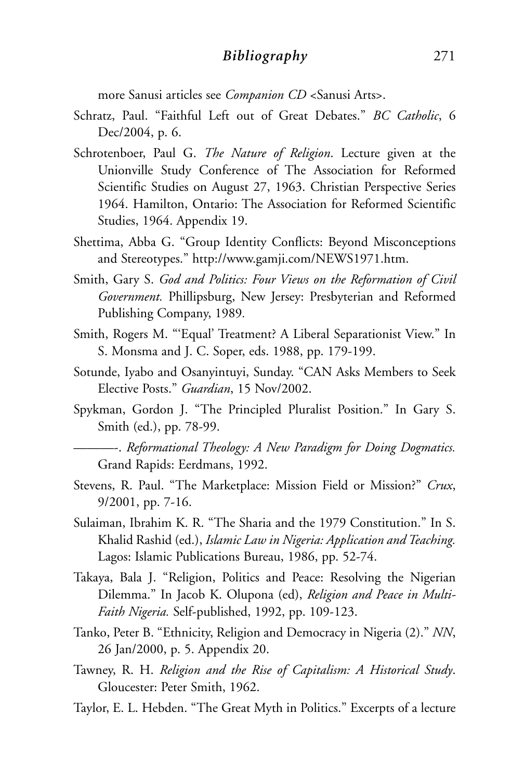more Sanusi articles see *Companion CD* <Sanusi Arts>.

- Schratz, Paul. "Faithful Left out of Great Debates." *BC Catholic*, 6 Dec/2004, p. 6.
- Schrotenboer, Paul G. *The Nature of Religion*. Lecture given at the Unionville Study Conference of The Association for Reformed Scientific Studies on August 27, 1963. Christian Perspective Series 1964. Hamilton, Ontario: The Association for Reformed Scientific Studies, 1964. Appendix 19.
- Shettima, Abba G. "Group Identity Conflicts: Beyond Misconceptions and Stereotypes." http://www.gamji.com/NEWS1971.htm.
- Smith, Gary S. *God and Politics: Four Views on the Reformation of Civil Government.* Phillipsburg, New Jersey: Presbyterian and Reformed Publishing Company, 1989*.*
- Smith, Rogers M. "'Equal' Treatment? A Liberal Separationist View." In S. Monsma and J. C. Soper, eds. 1988, pp. 179-199.
- Sotunde, Iyabo and Osanyintuyi, Sunday. "CAN Asks Members to Seek Elective Posts." *Guardian*, 15 Nov/2002.
- Spykman, Gordon J. "The Principled Pluralist Position." In Gary S. Smith (ed.), pp. 78-99.
	- ———-. *Reformational Theology: A New Paradigm for Doing Dogmatics.* Grand Rapids: Eerdmans, 1992.
- Stevens, R. Paul. "The Marketplace: Mission Field or Mission?" *Crux*, 9/2001, pp. 7-16.
- Sulaiman, Ibrahim K. R. "The Sharia and the 1979 Constitution." In S. Khalid Rashid (ed.), *Islamic Law in Nigeria: Application and Teaching.* Lagos: Islamic Publications Bureau, 1986, pp. 52-74.
- Takaya, Bala J. "Religion, Politics and Peace: Resolving the Nigerian Dilemma." In Jacob K. Olupona (ed), *Religion and Peace in Multi-Faith Nigeria.* Self-published, 1992, pp. 109-123.
- Tanko, Peter B. "Ethnicity, Religion and Democracy in Nigeria (2)." *NN*, 26 Jan/2000, p. 5. Appendix 20.
- Tawney, R. H. *Religion and the Rise of Capitalism: A Historical Study*. Gloucester: Peter Smith, 1962.
- Taylor, E. L. Hebden. "The Great Myth in Politics." Excerpts of a lecture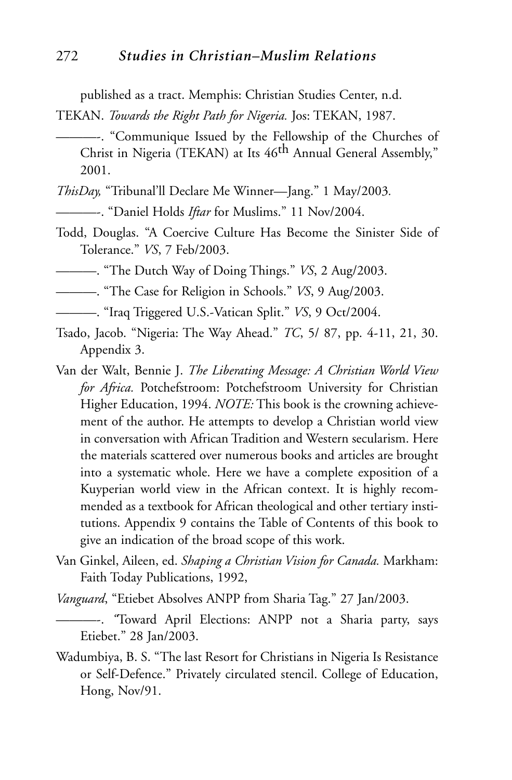published as a tract. Memphis: Christian Studies Center, n.d.

TEKAN. *Towards the Right Path for Nigeria.* Jos: TEKAN, 1987.

- ———-. "Communique Issued by the Fellowship of the Churches of Christ in Nigeria (TEKAN) at Its 46<sup>th</sup> Annual General Assembly," 2001.
- *ThisDay,* "Tribunal'll Declare Me Winner—Jang." 1 May/2003*.*
- ———-. "Daniel Holds *Iftar* for Muslims." 11 Nov/2004.
- Todd, Douglas. "A Coercive Culture Has Become the Sinister Side of Tolerance." *VS*, 7 Feb/2003.
- ———. "The Dutch Way of Doing Things." *VS*, 2 Aug/2003.
- ———. "The Case for Religion in Schools." *VS*, 9 Aug/2003.
- ———. "Iraq Triggered U.S.-Vatican Split." *VS*, 9 Oct/2004.
- Tsado, Jacob. "Nigeria: The Way Ahead." *TC*, 5/ 87, pp. 4-11, 21, 30. Appendix 3.
- Van der Walt, Bennie J. *The Liberating Message: A Christian World View for Africa.* Potchefstroom: Potchefstroom University for Christian Higher Education, 1994. *NOTE:* This book is the crowning achievement of the author. He attempts to develop a Christian world view in conversation with African Tradition and Western secularism. Here the materials scattered over numerous books and articles are brought into a systematic whole. Here we have a complete exposition of a Kuyperian world view in the African context. It is highly recommended as a textbook for African theological and other tertiary institutions. Appendix 9 contains the Table of Contents of this book to give an indication of the broad scope of this work.
- Van Ginkel, Aileen, ed. *Shaping a Christian Vision for Canada.* Markham: Faith Today Publications, 1992,

*Vanguard*, "Etiebet Absolves ANPP from Sharia Tag." 27 Jan/2003.

———-. *"*Toward April Elections: ANPP not a Sharia party, says Etiebet." 28 Jan/2003.

Wadumbiya, B. S. "The last Resort for Christians in Nigeria Is Resistance or Self-Defence." Privately circulated stencil. College of Education, Hong, Nov/91.